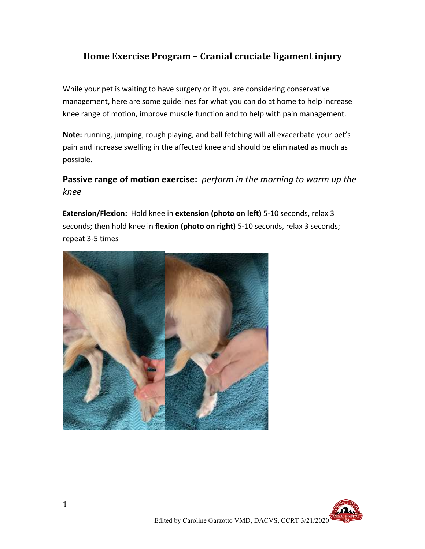## Home Exercise Program - Cranial cruciate ligament injury

While your pet is waiting to have surgery or if you are considering conservative management, here are some guidelines for what you can do at home to help increase knee range of motion, improve muscle function and to help with pain management.

Note: running, jumping, rough playing, and ball fetching will all exacerbate your pet's pain and increase swelling in the affected knee and should be eliminated as much as possible.

## **Passive range of motion exercise:** *perform in the morning to warm up the knee*

**Extension/Flexion:** Hold knee in **extension (photo on left)** 5-10 seconds, relax 3 seconds; then hold knee in flexion (photo on right) 5-10 seconds, relax 3 seconds; repeat 3-5 times



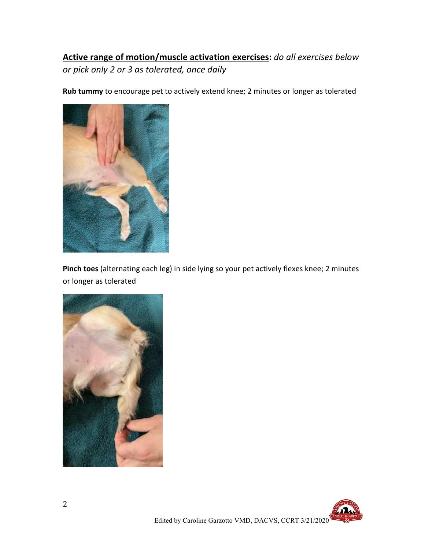# **Active range of motion/muscle activation exercises:** do all exercises below *or pick only 2 or 3 as tolerated, once daily*

**Rub tummy** to encourage pet to actively extend knee; 2 minutes or longer as tolerated



Pinch toes (alternating each leg) in side lying so your pet actively flexes knee; 2 minutes or longer as tolerated



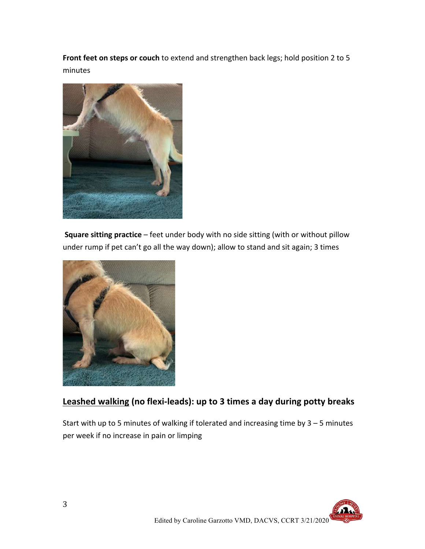**Front feet on steps or couch** to extend and strengthen back legs; hold position 2 to 5 minutes



**Square sitting practice** – feet under body with no side sitting (with or without pillow under rump if pet can't go all the way down); allow to stand and sit again; 3 times



### Leashed walking (no flexi-leads): up to 3 times a day during potty breaks

Start with up to 5 minutes of walking if tolerated and increasing time by  $3 - 5$  minutes per week if no increase in pain or limping

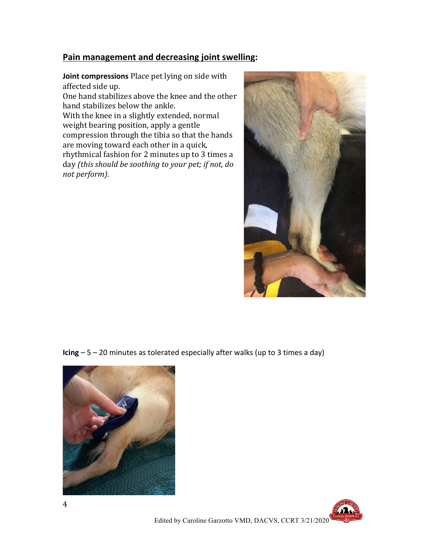#### **Pain management and decreasing joint swelling:**

**Joint compressions** Place pet lying on side with affected side up.

One hand stabilizes above the knee and the other hand stabilizes below the ankle.

With the knee in a slightly extended, normal weight bearing position, apply a gentle compression through the tibia so that the hands are moving toward each other in a quick, rhythmical fashion for 2 minutes up to 3 times a day *(this should be soothing to your pet; if not, do not perform)*.



**Icing**  $-5 - 20$  minutes as tolerated especially after walks (up to 3 times a day)